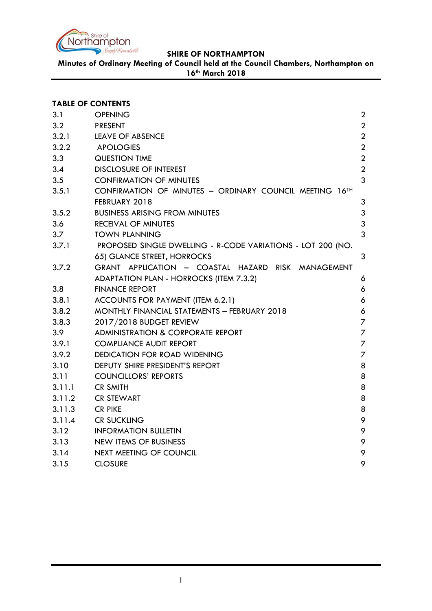

**Minutes of Ordinary Meeting of Council held at the Council Chambers, Northampton on 16th March 2018**

|        | <b>TABLE OF CONTENTS</b>                                    |                |
|--------|-------------------------------------------------------------|----------------|
| 3.1    | <b>OPENING</b>                                              | $\overline{2}$ |
| 3.2    | <b>PRESENT</b>                                              | $\overline{2}$ |
| 3.2.1  | <b>LEAVE OF ABSENCE</b>                                     | $\overline{2}$ |
| 3.2.2  | <b>APOLOGIES</b>                                            | $\overline{2}$ |
| 3.3    | <b>QUESTION TIME</b>                                        | $\overline{2}$ |
| 3.4    | <b>DISCLOSURE OF INTEREST</b>                               | $\overline{2}$ |
| 3.5    | <b>CONFIRMATION OF MINUTES</b>                              | $\overline{3}$ |
| 3.5.1  | CONFIRMATION OF MINUTES - ORDINARY COUNCIL MEETING 16TH     |                |
|        | FEBRUARY 2018                                               | 3              |
| 3.5.2  | <b>BUSINESS ARISING FROM MINUTES</b>                        | $\mathfrak{S}$ |
| 3.6    | <b>RECEIVAL OF MINUTES</b>                                  | 3              |
| 3.7    | <b>TOWN PLANNING</b>                                        | 3              |
| 3.7.1  | PROPOSED SINGLE DWELLING - R-CODE VARIATIONS - LOT 200 (NO. |                |
|        | 65) GLANCE STREET, HORROCKS                                 | 3              |
| 3.7.2  | GRANT APPLICATION - COASTAL HAZARD RISK MANAGEMENT          |                |
|        | ADAPTATION PLAN - HORROCKS (ITEM 7.3.2)                     | 6              |
| 3.8    | <b>FINANCE REPORT</b>                                       | 6              |
| 3.8.1  | ACCOUNTS FOR PAYMENT (ITEM 6.2.1)                           | 6              |
| 3.8.2  | MONTHLY FINANCIAL STATEMENTS - FEBRUARY 2018                | 6              |
| 3.8.3  | 2017/2018 BUDGET REVIEW                                     | $\overline{7}$ |
| 3.9    | <b>ADMINISTRATION &amp; CORPORATE REPORT</b>                | $\overline{7}$ |
| 3.9.1  | <b>COMPLIANCE AUDIT REPORT</b>                              | $\overline{7}$ |
| 3.9.2  | <b>DEDICATION FOR ROAD WIDENING</b>                         | $\overline{7}$ |
| 3.10   | DEPUTY SHIRE PRESIDENT'S REPORT                             | 8              |
| 3.11   | <b>COUNCILLORS' REPORTS</b>                                 | 8              |
| 3.11.1 | <b>CR SMITH</b>                                             | 8              |
| 3.11.2 | <b>CR STEWART</b>                                           | 8              |
| 3.11.3 | <b>CR PIKE</b>                                              | 8              |
| 3.11.4 | <b>CR SUCKLING</b>                                          | 9              |
| 3.12   | <b>INFORMATION BULLETIN</b>                                 | 9              |
| 3.13   | NEW ITEMS OF BUSINESS                                       | 9              |
| 3.14   | NEXT MEETING OF COUNCIL                                     | 9              |
| 3.15   | <b>CLOSURE</b>                                              | 9              |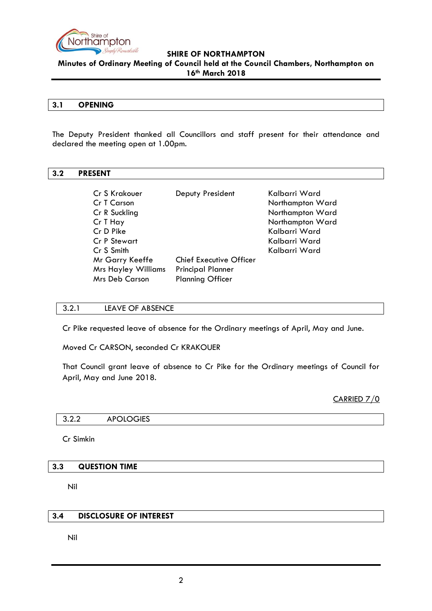

**Minutes of Ordinary Meeting of Council held at the Council Chambers, Northampton on 16th March 2018**

#### **3.1 OPENING**

The Deputy President thanked all Councillors and staff present for their attendance and declared the meeting open at 1.00pm.

### <span id="page-1-0"></span>**3.2 PRESENT**

| Cr S Krakouer<br>Cr T Carson<br>Cr R Suckling                          | Deputy President                                                                      | Kalbarri Ward<br>Northampton Ward<br>Northampton Ward |
|------------------------------------------------------------------------|---------------------------------------------------------------------------------------|-------------------------------------------------------|
| Cr T Hay                                                               |                                                                                       | Northampton Ward                                      |
| Cr D Pike<br><b>Cr P Stewart</b>                                       |                                                                                       | Kalbarri Ward<br>Kalbarri Ward                        |
| Cr S Smith                                                             |                                                                                       | Kalbarri Ward                                         |
| Mr Garry Keeffe<br><b>Mrs Hayley Williams</b><br><b>Mrs Deb Carson</b> | <b>Chief Executive Officer</b><br><b>Principal Planner</b><br><b>Planning Officer</b> |                                                       |

## <span id="page-1-1"></span>3.2.1 LEAVE OF ABSENCE

Cr Pike requested leave of absence for the Ordinary meetings of April, May and June.

Moved Cr CARSON, seconded Cr KRAKOUER

That Council grant leave of absence to Cr Pike for the Ordinary meetings of Council for April, May and June 2018.

CARRIED 7/0

<span id="page-1-2"></span>3.2.2 APOLOGIES

Cr Simkin

### <span id="page-1-3"></span>**3.3 QUESTION TIME**

Nil

## <span id="page-1-4"></span>**3.4 DISCLOSURE OF INTEREST**

Nil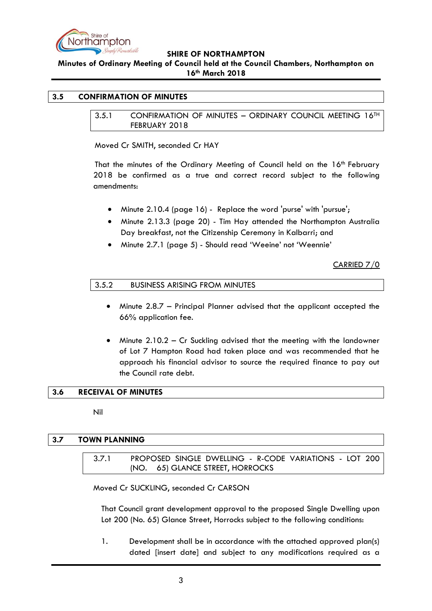

**Minutes of Ordinary Meeting of Council held at the Council Chambers, Northampton on 16th March 2018**

## <span id="page-2-1"></span><span id="page-2-0"></span>**3.5 CONFIRMATION OF MINUTES**

3.5.1 CONFIRMATION OF MINUTES – ORDINARY COUNCIL MEETING 16TH FEBRUARY 2018

Moved Cr SMITH, seconded Cr HAY

That the minutes of the Ordinary Meeting of Council held on the 16<sup>th</sup> February 2018 be confirmed as a true and correct record subject to the following amendments:

- Minute 2.10.4 (page 16) Replace the word 'purse' with 'pursue';
- Minute 2.13.3 (page 20) Tim Hay attended the Northampton Australia Day breakfast, not the Citizenship Ceremony in Kalbarri; and
- Minute 2.7.1 (page 5) Should read 'Weeine' not 'Weennie'

CARRIED 7/0

<span id="page-2-2"></span>

| 3.5.2 | <b>BUSINESS ARISING FROM MINUTES</b> |  |
|-------|--------------------------------------|--|
|-------|--------------------------------------|--|

- Minute 2.8.7 Principal Planner advised that the applicant accepted the 66% application fee.
- Minute 2.10.2 Cr Suckling advised that the meeting with the landowner of Lot 7 Hampton Road had taken place and was recommended that he approach his financial advisor to source the required finance to pay out the Council rate debt.

### <span id="page-2-3"></span>**3.6 RECEIVAL OF MINUTES**

Nil

## <span id="page-2-5"></span><span id="page-2-4"></span>**3.7 TOWN PLANNING**

3.7.1 PROPOSED SINGLE DWELLING - R-CODE VARIATIONS - LOT 200 (NO. 65) GLANCE STREET, HORROCKS

Moved Cr SUCKLING, seconded Cr CARSON

That Council grant development approval to the proposed Single Dwelling upon Lot 200 (No. 65) Glance Street, Horrocks subject to the following conditions:

1. Development shall be in accordance with the attached approved plan(s) dated [insert date] and subject to any modifications required as a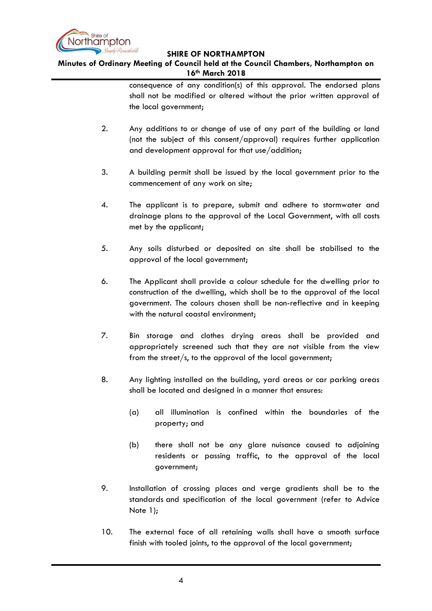

**Minutes of Ordinary Meeting of Council held at the Council Chambers, Northampton on 16th March 2018**

> consequence of any condition(s) of this approval. The endorsed plans shall not be modified or altered without the prior written approval of the local government;

- 2. Any additions to or change of use of any part of the building or land (not the subject of this consent/approval) requires further application and development approval for that use/addition;
- 3. A building permit shall be issued by the local government prior to the commencement of any work on site;
- 4. The applicant is to prepare, submit and adhere to stormwater and drainage plans to the approval of the Local Government, with all costs met by the applicant;
- 5. Any soils disturbed or deposited on site shall be stabilised to the approval of the local government;
- 6. The Applicant shall provide a colour schedule for the dwelling prior to construction of the dwelling, which shall be to the approval of the local government. The colours chosen shall be non-reflective and in keeping with the natural coastal environment;
- 7. Bin storage and clothes drying areas shall be provided and appropriately screened such that they are not visible from the view from the street/s, to the approval of the local government;
- 8. Any lighting installed on the building, yard areas or car parking areas shall be located and designed in a manner that ensures:
	- (a) all illumination is confined within the boundaries of the property; and
	- (b) there shall not be any glare nuisance caused to adjoining residents or passing traffic, to the approval of the local government;
- 9. Installation of crossing places and verge gradients shall be to the standards and specification of the local government (refer to Advice Note 1);
- 10. The external face of all retaining walls shall have a smooth surface finish with tooled joints, to the approval of the local government;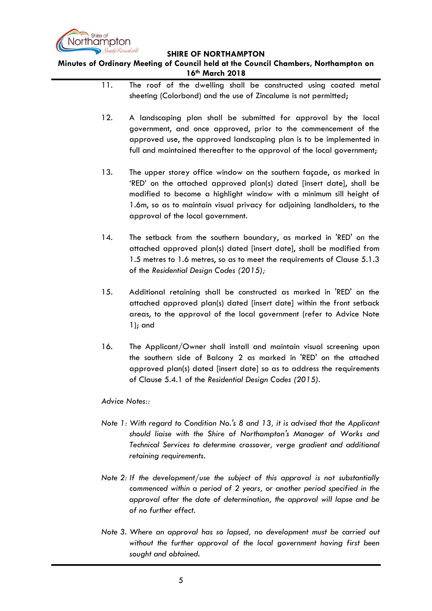

**Minutes of Ordinary Meeting of Council held at the Council Chambers, Northampton on 16th March 2018**

- 11. The roof of the dwelling shall be constructed using coated metal sheeting (Colorbond) and the use of Zincalume is not permitted;
- 12. A landscaping plan shall be submitted for approval by the local government, and once approved, prior to the commencement of the approved use, the approved landscaping plan is to be implemented in full and maintained thereafter to the approval of the local government:
- 13. The upper storey office window on the southern façade, as marked in 'RED' on the attached approved plan(s) dated [insert date], shall be modified to become a highlight window with a minimum sill height of 1.6m, so as to maintain visual privacy for adjoining landholders, to the approval of the local government.
- 14. The setback from the southern boundary, as marked in 'RED' on the attached approved plan(s) dated [insert date], shall be modified from 1.5 metres to 1.6 metres, so as to meet the requirements of Clause 5.1.3 of the *Residential Design Codes (2015);*
- 15. Additional retaining shall be constructed as marked in 'RED' on the attached approved plan(s) dated [insert date] within the front setback areas, to the approval of the local government (refer to Advice Note 1); and
- 16. The Applicant/Owner shall install and maintain visual screening upon the southern side of Balcony 2 as marked in 'RED' on the attached approved plan(s) dated [insert date] so as to address the requirements of Clause 5.4.1 of the *Residential Design Codes (2015)*.

*Advice Notes::*

- *Note 1: With regard to Condition No.'s 8 and 13, it is advised that the Applicant should liaise with the Shire of Northampton's Manager of Works and Technical Services to determine crossover, verge gradient and additional retaining requirements.*
- *Note 2: If the development/use the subject of this approval is not substantially commenced within a period of 2 years, or another period specified in the approval after the date of determination, the approval will lapse and be of no further effect.*
- *Note 3. Where an approval has so lapsed, no development must be carried out without the further approval of the local government having first been sought and obtained.*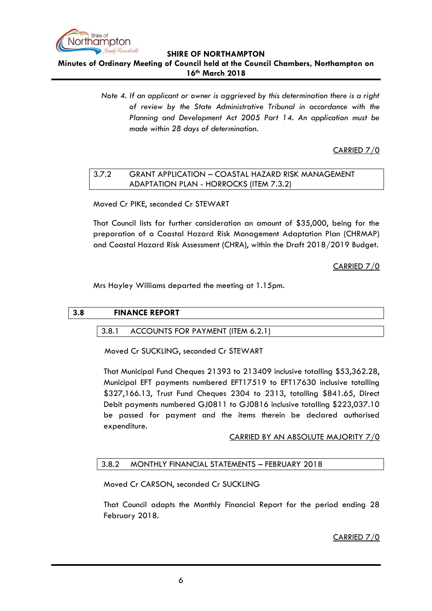

**Minutes of Ordinary Meeting of Council held at the Council Chambers, Northampton on 16th March 2018**

> *Note 4. If an applicant or owner is aggrieved by this determination there is a right of review by the State Administrative Tribunal in accordance with the Planning and Development Act 2005 Part 14. An application must be made within 28 days of determination.*

> > CARRIED 7/0

# <span id="page-5-0"></span>3.7.2 GRANT APPLICATION – COASTAL HAZARD RISK MANAGEMENT ADAPTATION PLAN - HORROCKS (ITEM 7.3.2)

Moved Cr PIKE, seconded Cr STEWART

That Council lists for further consideration an amount of \$35,000, being for the preparation of a Coastal Hazard Risk Management Adaptation Plan (CHRMAP) and Coastal Hazard Risk Assessment (CHRA), within the Draft 2018/2019 Budget.

CARRIED 7/0

Mrs Hayley Williams departed the meeting at 1.15pm.

## <span id="page-5-2"></span><span id="page-5-1"></span>**3.8 FINANCE REPORT**

### 3.8.1 ACCOUNTS FOR PAYMENT (ITEM 6.2.1)

Moved Cr SUCKLING, seconded Cr STEWART

That Municipal Fund Cheques 21393 to 213409 inclusive totalling \$53,362.28, Municipal EFT payments numbered EFT17519 to EFT17630 inclusive totalling \$327,166.13, Trust Fund Cheques 2304 to 2313, totalling \$841.65, Direct Debit payments numbered GJ0811 to GJ0816 inclusive totalling \$223,037.10 be passed for payment and the items therein be declared authorised expenditure.

## CARRIED BY AN ABSOLUTE MAJORITY 7/0

## <span id="page-5-3"></span>3.8.2 MONTHLY FINANCIAL STATEMENTS – FEBRUARY 2018

Moved Cr CARSON, seconded Cr SUCKLING

That Council adopts the Monthly Financial Report for the period ending 28 February 2018.

CARRIED 7/0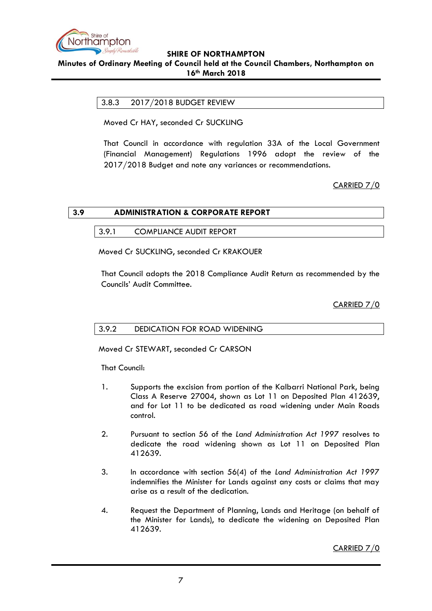

## <span id="page-6-0"></span>**Minutes of Ordinary Meeting of Council held at the Council Chambers, Northampton on 16th March 2018**

# 3.8.3 2017/2018 BUDGET REVIEW

Moved Cr HAY, seconded Cr SUCKLING

That Council in accordance with regulation 33A of the Local Government (Financial Management) Regulations 1996 adopt the review of the 2017/2018 Budget and note any variances or recommendations.

# CARRIED 7/0

<span id="page-6-2"></span><span id="page-6-1"></span>

| 3.9 | <b>ADMINISTRATION &amp; CORPORATE REPORT</b> |  |  |
|-----|----------------------------------------------|--|--|
|     |                                              |  |  |

3.9.1 COMPLIANCE AUDIT REPORT

Moved Cr SUCKLING, seconded Cr KRAKOUER

That Council adopts the 2018 Compliance Audit Return as recommended by the Councils' Audit Committee.

CARRIED 7/0

## <span id="page-6-3"></span>3.9.2 DEDICATION FOR ROAD WIDENING

Moved Cr STEWART, seconded Cr CARSON

That Council:

- 1. Supports the excision from portion of the Kalbarri National Park, being Class A Reserve 27004, shown as Lot 11 on Deposited Plan 412639, and for Lot 11 to be dedicated as road widening under Main Roads control.
- 2. Pursuant to section 56 of the *Land Administration Act 1997* resolves to dedicate the road widening shown as Lot 11 on Deposited Plan 412639.
- 3. In accordance with section 56(4) of the *Land Administration Act 1997*  indemnifies the Minister for Lands against any costs or claims that may arise as a result of the dedication.
- 4. Request the Department of Planning, Lands and Heritage (on behalf of the Minister for Lands), to dedicate the widening on Deposited Plan 412639.

CARRIED 7/0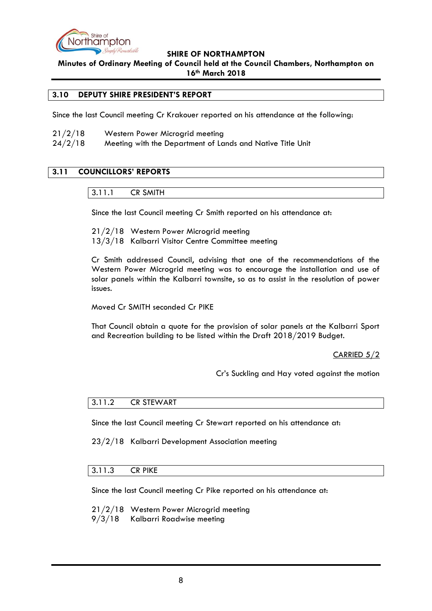

**Minutes of Ordinary Meeting of Council held at the Council Chambers, Northampton on 16th March 2018**

### <span id="page-7-0"></span>**3.10 DEPUTY SHIRE PRESIDENT'S REPORT**

Since the last Council meeting Cr Krakouer reported on his attendance at the following:

21/2/18 Western Power Microgrid meeting 24/2/18 Meeting with the Department of Lands and Native Title Unit

## <span id="page-7-2"></span><span id="page-7-1"></span>**3.11 COUNCILLORS' REPORTS**

3.11.1 CR SMITH

Since the last Council meeting Cr Smith reported on his attendance at:

21/2/18 Western Power Microgrid meeting 13/3/18 Kalbarri Visitor Centre Committee meeting

Cr Smith addressed Council, advising that one of the recommendations of the Western Power Microgrid meeting was to encourage the installation and use of solar panels within the Kalbarri townsite, so as to assist in the resolution of power issues.

Moved Cr SMITH seconded Cr PIKE

That Council obtain a quote for the provision of solar panels at the Kalbarri Sport and Recreation building to be listed within the Draft 2018/2019 Budget.

CARRIED 5/2

Cr's Suckling and Hay voted against the motion

#### <span id="page-7-3"></span>3.11.2 CR STEWART

Since the last Council meeting Cr Stewart reported on his attendance at:

23/2/18 Kalbarri Development Association meeting

#### <span id="page-7-4"></span>3.11.3 CR PIKE

Since the last Council meeting Cr Pike reported on his attendance at:

21/2/18 Western Power Microgrid meeting

9/3/18 Kalbarri Roadwise meeting